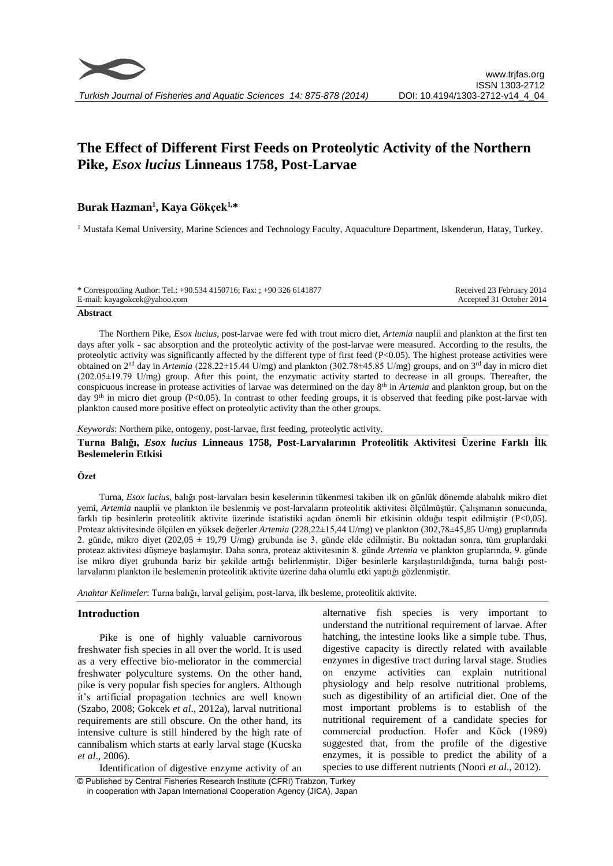# **The Effect of Different First Feeds on Proteolytic Activity of the Northern Pike,** *Esox lucius* **Linneaus 1758, Post-Larvae**

# **Burak Hazman<sup>1</sup> , Kaya Gökçek1,\***

<sup>1</sup> Mustafa Kemal University, Marine Sciences and Technology Faculty, Aquaculture Department, Iskenderun, Hatay, Turkey.

| * Corresponding Author: Tel.: +90.534 4150716; Fax: ; +90 326 6141877 | Received 23 February 2014 |
|-----------------------------------------------------------------------|---------------------------|
| E-mail: kayagokcek@yahoo.com                                          | Accepted 31 October 2014  |
|                                                                       |                           |

#### **Abstract**

The Northern Pike, *Esox lucius*, post-larvae were fed with trout micro diet, *Artemia* nauplii and plankton at the first ten days after yolk - sac absorption and the proteolytic activity of the post-larvae were measured. According to the results, the proteolytic activity was significantly affected by the different type of first feed (P<0.05). The highest protease activities were obtained on 2<sup>nd</sup> day in *Artemia* (228.22±15.44 U/mg) and plankton (302.78±45.85 U/mg) groups, and on 3<sup>rd</sup> day in micro diet (202.05±19.79 U/mg) group. After this point, the enzymatic activity started to decrease in all groups. Thereafter, the conspicuous increase in protease activities of larvae was determined on the day 8th in *Artemia* and plankton group, but on the day 9<sup>th</sup> in micro diet group (P<0.05). In contrast to other feeding groups, it is observed that feeding pike post-larvae with plankton caused more positive effect on proteolytic activity than the other groups.

*Keywords*: Northern pike, ontogeny, post-larvae, first feeding, proteolytic activity.

## **Turna Balığı,** *Esox lucius* **Linneaus 1758, Post-Larvalarının Proteolitik Aktivitesi Üzerine Farklı İlk Beslemelerin Etkisi**

#### **Özet**

Turna, *Esox lucius*, balığı post-larvaları besin keselerinin tükenmesi takiben ilk on günlük dönemde alabalık mikro diet yemi, *Artemia* nauplii ve plankton ile beslenmiş ve post-larvaların proteolitik aktivitesi ölçülmüştür. Çalışmanın sonucunda, farklı tip besinlerin proteolitik aktivite üzerinde istatistiki açıdan önemli bir etkisinin olduğu tespit edilmiştir (P<0,05). Proteaz aktivitesinde ölçülen en yüksek değerler *Artemia* (228,22±15,44 U/mg) ve plankton (302,78±45,85 U/mg) gruplarında 2. günde, mikro diyet (202,05  $\pm$  19,79 U/mg) grubunda ise 3. günde elde edilmiştir. Bu noktadan sonra, tüm gruplardaki proteaz aktivitesi düşmeye başlamıştır. Daha sonra, proteaz aktivitesinin 8. günde *Artemia* ve plankton gruplarında, 9. günde ise mikro diyet grubunda bariz bir şekilde arttığı belirlenmiştir. Diğer besinlerle karşılaştırıldığında, turna balığı postlarvalarını plankton ile beslemenin proteolitik aktivite üzerine daha olumlu etki yaptığı gözlenmiştir.

*Anahtar Kelimeler*: Turna balığı, larval gelişim, post-larva, ilk besleme, proteolitik aktivite.

#### **Introduction**

Pike is one of highly valuable carnivorous freshwater fish species in all over the world. It is used as a very effective bio-meliorator in the commercial freshwater polyculture systems. On the other hand, pike is very popular fish species for anglers. Although it's artificial propagation technics are well known (Szabo, 2008; Gokcek *et al*., 2012a), larval nutritional requirements are still obscure. On the other hand, its intensive culture is still hindered by the high rate of cannibalism which starts at early larval stage (Kucska *et al*., 2006).

Identification of digestive enzyme activity of an

alternative fish species is very important to understand the nutritional requirement of larvae. After hatching, the intestine looks like a simple tube. Thus, digestive capacity is directly related with available enzymes in digestive tract during larval stage. Studies on enzyme activities can explain nutritional physiology and help resolve nutritional problems, such as digestibility of an artificial diet. One of the most important problems is to establish of the nutritional requirement of a candidate species for commercial production. Hofer and Köck (1989) suggested that, from the profile of the digestive enzymes, it is possible to predict the ability of a species to use different nutrients (Noori *et al*., 2012).

© Published by Central Fisheries Research Institute (CFRI) Trabzon, Turkey in cooperation with Japan International Cooperation Agency (JICA), Japan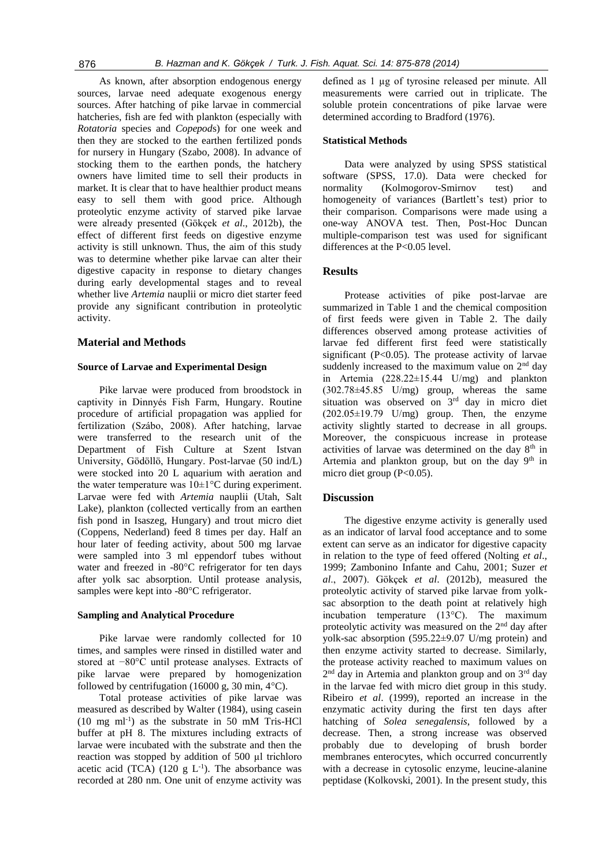As known, after absorption endogenous energy sources, larvae need adequate exogenous energy sources. After hatching of pike larvae in commercial hatcheries, fish are fed with plankton (especially with *Rotatoria* species and *Copepod*s) for one week and then they are stocked to the earthen fertilized ponds for nursery in Hungary (Szabo, 2008). In advance of stocking them to the earthen ponds, the hatchery owners have limited time to sell their products in market. It is clear that to have healthier product means easy to sell them with good price. Although proteolytic enzyme activity of starved pike larvae were already presented (Gökçek *et al*., 2012b), the effect of different first feeds on digestive enzyme activity is still unknown. Thus, the aim of this study was to determine whether pike larvae can alter their digestive capacity in response to dietary changes during early developmental stages and to reveal whether live *Artemia* nauplii or micro diet starter feed provide any significant contribution in proteolytic activity.

#### **Material and Methods**

#### **Source of Larvae and Experimental Design**

Pike larvae were produced from broodstock in captivity in Dinnyés Fish Farm, Hungary. Routine procedure of artificial propagation was applied for fertilization (Szábo, 2008). After hatching, larvae were transferred to the research unit of the Department of Fish Culture at Szent Istvan University, Gödöllö, Hungary. Post-larvae (50 ind/L) were stocked into 20 L aquarium with aeration and the water temperature was  $10\pm1\degree C$  during experiment. Larvae were fed with *Artemia* nauplii (Utah, Salt Lake), plankton (collected vertically from an earthen fish pond in Isaszeg, Hungary) and trout micro diet (Coppens, Nederland) feed 8 times per day. Half an hour later of feeding activity, about 500 mg larvae were sampled into 3 ml eppendorf tubes without water and freezed in -80°C refrigerator for ten days after yolk sac absorption. Until protease analysis, samples were kept into -80°C refrigerator.

#### **Sampling and Analytical Procedure**

Pike larvae were randomly collected for 10 times, and samples were rinsed in distilled water and stored at −80°C until protease analyses. Extracts of pike larvae were prepared by homogenization followed by centrifugation (16000 g, 30 min,  $4^{\circ}$ C).

Total protease activities of pike larvae was measured as described by Walter (1984), using casein  $(10 \text{ mg ml}^{-1})$  as the substrate in 50 mM Tris-HCl buffer at pH 8. The mixtures including extracts of larvae were incubated with the substrate and then the reaction was stopped by addition of 500 µl trichloro acetic acid (TCA) (120 g  $L^{-1}$ ). The absorbance was recorded at 280 nm. One unit of enzyme activity was

defined as 1 µg of tyrosine released per minute. All measurements were carried out in triplicate. The soluble protein concentrations of pike larvae were determined according to Bradford (1976).

#### **Statistical Methods**

Data were analyzed by using SPSS statistical software (SPSS, 17.0). Data were checked for normality (Kolmogorov-Smirnov test) and homogeneity of variances (Bartlett's test) prior to their comparison. Comparisons were made using a one-way ANOVA test. Then, Post-Hoc Duncan multiple-comparison test was used for significant differences at the P<0.05 level.

#### **Results**

Protease activities of pike post-larvae are summarized in Table 1 and the chemical composition of first feeds were given in Table 2. The daily differences observed among protease activities of larvae fed different first feed were statistically significant  $(P<0.05)$ . The protease activity of larvae suddenly increased to the maximum value on  $2<sup>nd</sup>$  day in Artemia (228.22±15.44 U/mg) and plankton  $(302.78\pm45.85 \text{ U/mg})$  group, whereas the same situation was observed on 3<sup>rd</sup> day in micro diet  $(202.05\pm19.79 \text{ U/mg})$  group. Then, the enzyme activity slightly started to decrease in all groups. Moreover, the conspicuous increase in protease activities of larvae was determined on the day  $8<sup>th</sup>$  in Artemia and plankton group, but on the day  $9<sup>th</sup>$  in micro diet group  $(P<0.05)$ .

#### **Discussion**

The digestive enzyme activity is generally used as an indicator of larval food acceptance and to some extent can serve as an indicator for digestive capacity in relation to the type of feed offered (Nolting *et al*., 1999; Zambonino Infante and Cahu, 2001; Suzer *et al*., 2007). Gökçek *et al*. (2012b), measured the proteolytic activity of starved pike larvae from yolksac absorption to the death point at relatively high incubation temperature (13°C). The maximum proteolytic activity was measured on the 2<sup>nd</sup> day after yolk-sac absorption (595.22±9.07 U/mg protein) and then enzyme activity started to decrease. Similarly, the protease activity reached to maximum values on 2<sup>nd</sup> day in Artemia and plankton group and on 3<sup>rd</sup> day in the larvae fed with micro diet group in this study. Ribeiro *et al*. (1999), reported an increase in the enzymatic activity during the first ten days after hatching of *Solea senegalensis*, followed by a decrease. Then, a strong increase was observed probably due to developing of brush border membranes enterocytes, which occurred concurrently with a decrease in cytosolic enzyme, leucine-alanine peptidase (Kolkovski, 2001). In the present study, this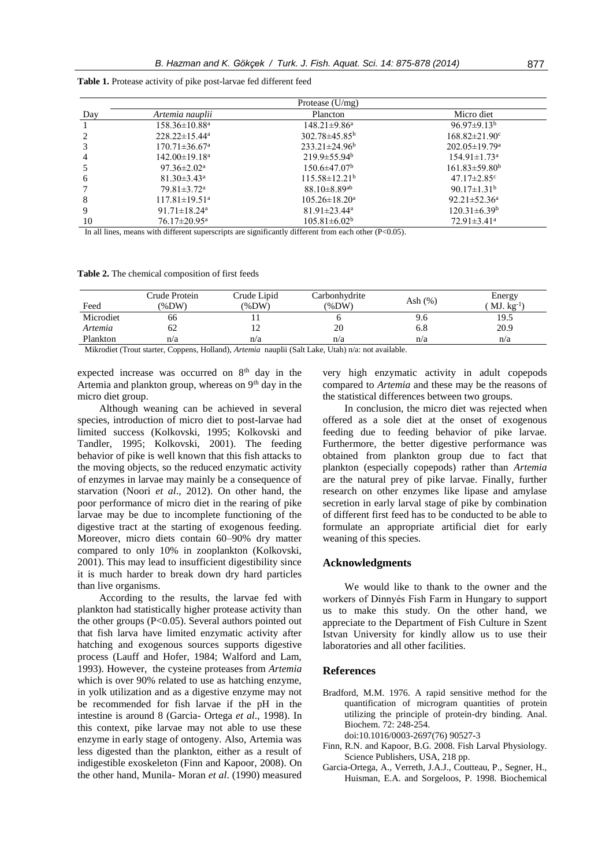|     | Protease $(U/mg)$               |                                |                                 |  |  |  |  |
|-----|---------------------------------|--------------------------------|---------------------------------|--|--|--|--|
| Day | Artemia nauplii                 | Plancton                       | Micro diet                      |  |  |  |  |
|     | $158.36 \pm 10.88$ <sup>a</sup> | $148.21 \pm 9.86^a$            | $96.97 \pm 9.13^b$              |  |  |  |  |
|     | $228.22 \pm 15.44^a$            | $302.78 \pm 45.85^b$           | $168.82 \pm 21.90$ <sup>c</sup> |  |  |  |  |
|     | $170.71 \pm 36.67$ <sup>a</sup> | $233.21 \pm 24.96^b$           | $202.05 \pm 19.79$ <sup>a</sup> |  |  |  |  |
| 4   | $142.00 \pm 19.18$ <sup>a</sup> | $219.9 \pm 55.94^{\circ}$      | $154.91 \pm 1.73$ <sup>a</sup>  |  |  |  |  |
|     | $97.36 \pm 2.02^{\mathrm{a}}$   | $150.6 \pm 47.07^{\rm b}$      | $161.83 \pm 59.80^b$            |  |  |  |  |
| 6   | $81.30 \pm 3.43^{\circ}$        | $115.58\pm12.21^{\rm b}$       | $47.17 \pm 2.85$ <sup>c</sup>   |  |  |  |  |
|     | $79.81 \pm 3.72$ <sup>a</sup>   | $88.10 \pm 8.89$ <sup>ab</sup> | $90.17 \pm 1.31^b$              |  |  |  |  |
| 8   | $117.81 \pm 19.51^{\text{a}}$   | $105.26 \pm 18.20^a$           | $92.21 \pm 52.36^a$             |  |  |  |  |
| 9   | 91.71 $\pm$ 18.24 <sup>a</sup>  | $81.91 \pm 23.44$ <sup>a</sup> | $120.31 \pm 6.39^b$             |  |  |  |  |
| 10  | $76.17 \pm 20.95^{\text{a}}$    | $105.81 \pm 6.02^b$            | $72.91 \pm 3.41^a$              |  |  |  |  |

**Table 1.** Protease activity of pike post-larvae fed different feed

In all lines, means with different superscripts are significantly different from each other (P<0.05).

**Table 2.** The chemical composition of first feeds

| Feed            | Crude Protein<br>$(\%DW)$ | Crude Lipid<br>$(\%DW)$                                                                                                                               | Carbonhydrite<br>$\frac{\%DW}{\%}$               | Ash $(%)$ | Energy<br>$MJ.$ $kg^{-1}$ |
|-----------------|---------------------------|-------------------------------------------------------------------------------------------------------------------------------------------------------|--------------------------------------------------|-----------|---------------------------|
| Microdiet       | 66                        |                                                                                                                                                       |                                                  | 9.6       | 19.5                      |
| Artemia         | 62                        | ∸                                                                                                                                                     | 20                                               | 6.8       | 20.9                      |
| Plankton        | n/a                       | n/a                                                                                                                                                   | n/a                                              | n/a       | n/a                       |
| $3.421 - 12.77$ | $\cdots$ $\alpha$         | $\mathbf{r}$ <b>T</b> $\mathbf{r}$ <b>11</b> $\mathbf{r}$ <b>11</b> $\mathbf{r}$ <b>11</b> $\mathbf{r}$ <b>11</b> $\mathbf{r}$ <b>11</b> $\mathbf{r}$ | $1''$ / $(1, 1, 1)$<br>$T$ $T$ $\sim$ $T$ $\sim$ | 11.11     |                           |

Mikrodiet (Trout starter, Coppens, Holland), *Artemia* nauplii (Salt Lake, Utah) n/a: not available.

expected increase was occurred on  $8<sup>th</sup>$  day in the Artemia and plankton group, whereas on  $9<sup>th</sup>$  day in the micro diet group.

Although weaning can be achieved in several species, introduction of micro diet to post-larvae had limited success (Kolkovski, 1995; Kolkovski and Tandler, 1995; Kolkovski, 2001). The feeding behavior of pike is well known that this fish attacks to the moving objects, so the reduced enzymatic activity of enzymes in larvae may mainly be a consequence of starvation (Noori *et al*., 2012). On other hand, the poor performance of micro diet in the rearing of pike larvae may be due to incomplete functioning of the digestive tract at the starting of exogenous feeding. Moreover, micro diets contain 60–90% dry matter compared to only 10% in zooplankton (Kolkovski, 2001). This may lead to insufficient digestibility since it is much harder to break down dry hard particles than live organisms.

According to the results, the larvae fed with plankton had statistically higher protease activity than the other groups (P<0.05). Several authors pointed out that fish larva have limited enzymatic activity after hatching and exogenous sources supports digestive process (Lauff and Hofer, 1984; Walford and Lam, 1993). However, the cysteine proteases from *Artemia* which is over 90% related to use as hatching enzyme, in yolk utilization and as a digestive enzyme may not be recommended for fish larvae if the pH in the intestine is around 8 (Garcia- Ortega *et al*., 1998). In this context, pike larvae may not able to use these enzyme in early stage of ontogeny. Also, Artemia was less digested than the plankton, either as a result of indigestible exoskeleton (Finn and Kapoor, 2008). On the other hand, Munila- Moran *et al*. (1990) measured

very high enzymatic activity in adult copepods compared to *Artemia* and these may be the reasons of the statistical differences between two groups.

In conclusion, the micro diet was rejected when offered as a sole diet at the onset of exogenous feeding due to feeding behavior of pike larvae. Furthermore, the better digestive performance was obtained from plankton group due to fact that plankton (especially copepods) rather than *Artemia* are the natural prey of pike larvae. Finally, further research on other enzymes like lipase and amylase secretion in early larval stage of pike by combination of different first feed has to be conducted to be able to formulate an appropriate artificial diet for early weaning of this species.

### **Acknowledgments**

We would like to thank to the owner and the workers of Dinnyés Fish Farm in Hungary to support us to make this study. On the other hand, we appreciate to the Department of Fish Culture in Szent Istvan University for kindly allow us to use their laboratories and all other facilities.

# **References**

- Bradford, M.M. 1976. A rapid sensitive method for the quantification of microgram quantities of protein utilizing the principle of protein-dry binding. Anal. Biochem. 72: 248-254. doi:10.1016/0003-2697(76) 90527-3
- Finn, R.N. and Kapoor, B.G. 2008. Fish Larval Physiology. Science Publishers, USA, 218 pp.
- Garcia-Ortega, A., Verreth, J.A.J., Coutteau, P., Segner, H., Huisman, E.A. and Sorgeloos, P. 1998. Biochemical